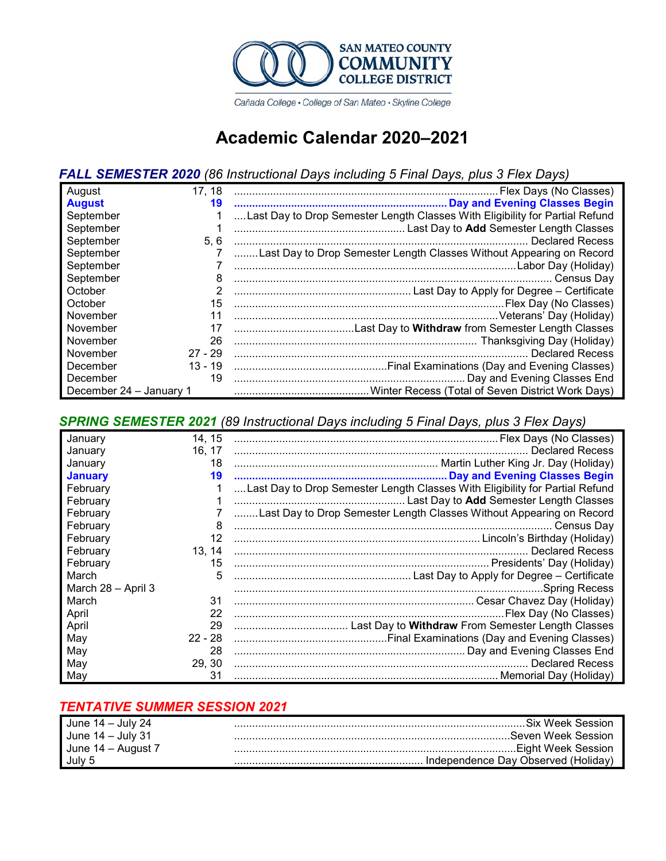

Cañada College · College of San Mateo · Skyline College

# **Academic Calendar 2020–2021**

## *FALL SEMESTER 2020 (86 Instructional Days including 5 Final Days, plus 3 Flex Days)*

| August                  | 17, 18    |                                                                              |
|-------------------------|-----------|------------------------------------------------------------------------------|
| <b>August</b>           | 19        |                                                                              |
| September               |           | Last Day to Drop Semester Length Classes With Eligibility for Partial Refund |
| September               |           |                                                                              |
| September               | 5, 6      |                                                                              |
| September               |           | Last Day to Drop Semester Length Classes Without Appearing on Record         |
| September               |           |                                                                              |
| September               | 8         |                                                                              |
| October                 |           |                                                                              |
| October                 | 15        |                                                                              |
| November                | 11        |                                                                              |
| November                | 17        |                                                                              |
| November                | 26        |                                                                              |
| November                | $27 - 29$ |                                                                              |
| December                | $13 - 19$ |                                                                              |
| December                | 19        |                                                                              |
| December 24 - January 1 |           |                                                                              |

### *SPRING SEMESTER 2021 (89 Instructional Days including 5 Final Days, plus 3 Flex Days)*

| January            | 14, 15    |                                                                              |
|--------------------|-----------|------------------------------------------------------------------------------|
| January            | 16, 17    |                                                                              |
| January            | 18        |                                                                              |
| <b>January</b>     | 19        |                                                                              |
| February           |           | Last Day to Drop Semester Length Classes With Eligibility for Partial Refund |
| February           |           |                                                                              |
| February           |           | Last Day to Drop Semester Length Classes Without Appearing on Record         |
| February           | 8         | Census Day                                                                   |
| February           | 12        |                                                                              |
| February           | 13, 14    |                                                                              |
| February           | 15        |                                                                              |
| March              | 5         |                                                                              |
| March 28 - April 3 |           |                                                                              |
| March              | 31        |                                                                              |
| April              | 22        |                                                                              |
| April              | 29        |                                                                              |
| May                | $22 - 28$ |                                                                              |
| May                | 28        |                                                                              |
| May                | 29, 30    |                                                                              |
| May                | 31        |                                                                              |

### *TENTATIVE SUMMER SESSION 2021*

| June $14 -$ July 24 | .Six Week Session                   |
|---------------------|-------------------------------------|
| June $14 -$ July 31 | Seven Week Session                  |
| June 14 – August 7  | Eight Week Session                  |
| July 5              | Independence Day Observed (Holiday) |